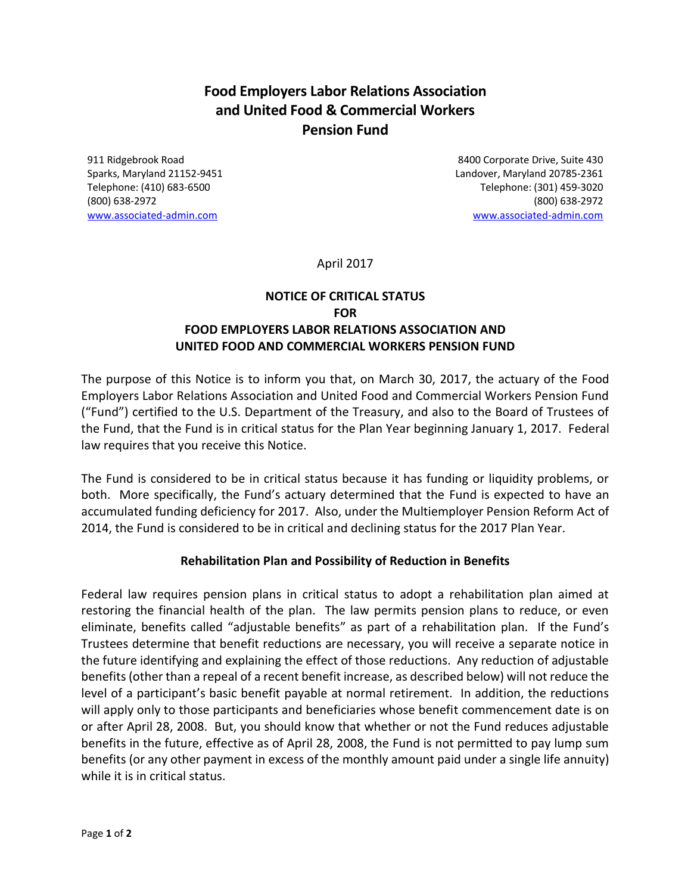# **Food Employers Labor Relations Association and United Food & Commercial Workers Pension Fund**

911 Ridgebrook Road 8400 Corporate Drive, Suite 430 Sparks, Maryland 21152-9451 Landover, Maryland 20785-2361 Telephone: (410) 683-6500 Telephone: (301) 459-3020 (800) 638-2972 (800) 638-2972 [www.associated-admin.com](http://www.associated-admin.com/) [www.associated-admin.com](http://www.associated-admin.com/)

April 2017

# **NOTICE OF CRITICAL STATUS FOR FOOD EMPLOYERS LABOR RELATIONS ASSOCIATION AND UNITED FOOD AND COMMERCIAL WORKERS PENSION FUND**

The purpose of this Notice is to inform you that, on March 30, 2017, the actuary of the Food Employers Labor Relations Association and United Food and Commercial Workers Pension Fund ("Fund") certified to the U.S. Department of the Treasury, and also to the Board of Trustees of the Fund, that the Fund is in critical status for the Plan Year beginning January 1, 2017. Federal law requires that you receive this Notice.

The Fund is considered to be in critical status because it has funding or liquidity problems, or both. More specifically, the Fund's actuary determined that the Fund is expected to have an accumulated funding deficiency for 2017. Also, under the Multiemployer Pension Reform Act of 2014, the Fund is considered to be in critical and declining status for the 2017 Plan Year.

### **Rehabilitation Plan and Possibility of Reduction in Benefits**

Federal law requires pension plans in critical status to adopt a rehabilitation plan aimed at restoring the financial health of the plan. The law permits pension plans to reduce, or even eliminate, benefits called "adjustable benefits" as part of a rehabilitation plan. If the Fund's Trustees determine that benefit reductions are necessary, you will receive a separate notice in the future identifying and explaining the effect of those reductions. Any reduction of adjustable benefits (other than a repeal of a recent benefit increase, as described below) will not reduce the level of a participant's basic benefit payable at normal retirement. In addition, the reductions will apply only to those participants and beneficiaries whose benefit commencement date is on or after April 28, 2008. But, you should know that whether or not the Fund reduces adjustable benefits in the future, effective as of April 28, 2008, the Fund is not permitted to pay lump sum benefits (or any other payment in excess of the monthly amount paid under a single life annuity) while it is in critical status.